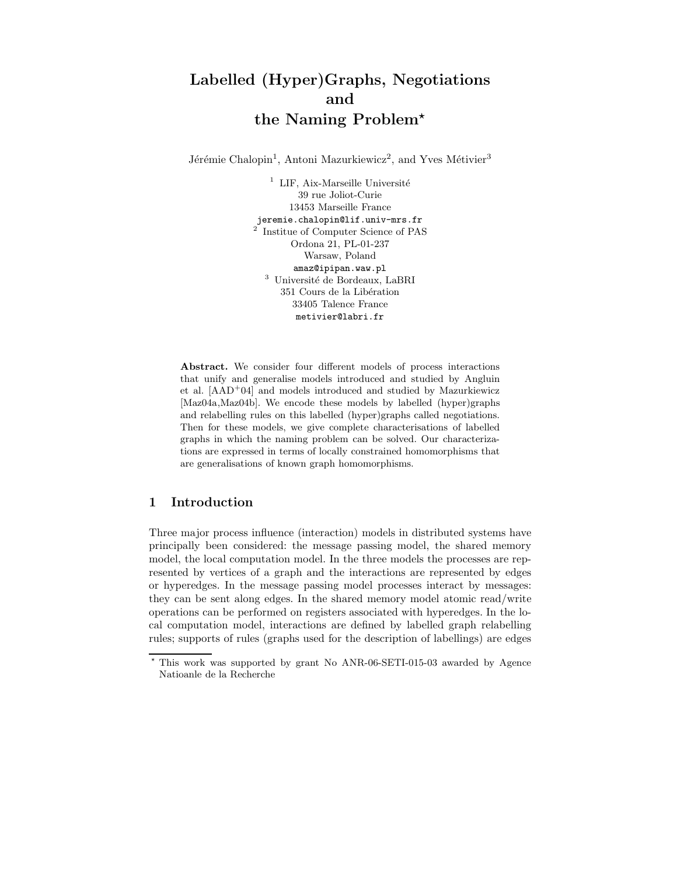# Labelled (Hyper)Graphs, Negotiations and the Naming Problem<sup>\*</sup>

Jérémie Chalopin<sup>1</sup>, Antoni Mazurkiewicz<sup>2</sup>, and Yves Métivier<sup>3</sup>

 $^{\rm 1}$  LIF, Aix-Marseille Université 39 rue Joliot-Curie 13453 Marseille France jeremie.chalopin@lif.univ-mrs.fr<br><sup>2</sup> Institue of Computer Science of PA Institue of Computer Science of PAS Ordona 21, PL-01-237 Warsaw, Poland amaz@ipipan.waw.pl  $^3$ Université de Bordeaux, LaBRI 351 Cours de la Libération 33405 Talence France metivier@labri.fr

Abstract. We consider four different models of process interactions that unify and generalise models introduced and studied by Angluin et al.  $[AAD^+04]$  and models introduced and studied by Mazurkiewicz [Maz04a,Maz04b]. We encode these models by labelled (hyper)graphs and relabelling rules on this labelled (hyper)graphs called negotiations. Then for these models, we give complete characterisations of labelled graphs in which the naming problem can be solved. Our characterizations are expressed in terms of locally constrained homomorphisms that are generalisations of known graph homomorphisms.

# 1 Introduction

Three major process influence (interaction) models in distributed systems have principally been considered: the message passing model, the shared memory model, the local computation model. In the three models the processes are represented by vertices of a graph and the interactions are represented by edges or hyperedges. In the message passing model processes interact by messages: they can be sent along edges. In the shared memory model atomic read/write operations can be performed on registers associated with hyperedges. In the local computation model, interactions are defined by labelled graph relabelling rules; supports of rules (graphs used for the description of labellings) are edges

This work was supported by grant No ANR-06-SETI-015-03 awarded by Agence Natioanle de la Recherche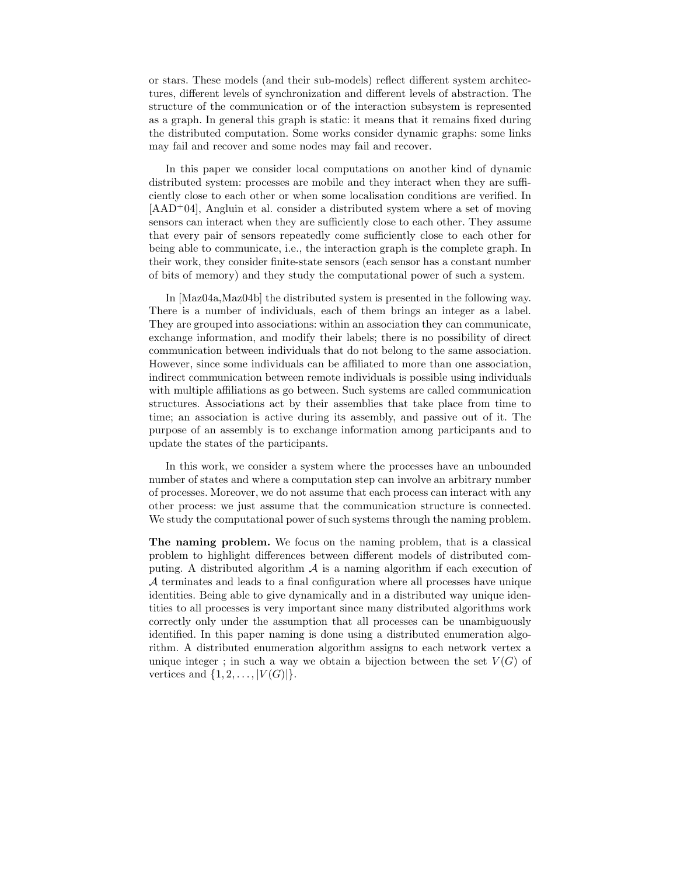or stars. These models (and their sub-models) reflect different system architectures, different levels of synchronization and different levels of abstraction. The structure of the communication or of the interaction subsystem is represented as a graph. In general this graph is static: it means that it remains fixed during the distributed computation. Some works consider dynamic graphs: some links may fail and recover and some nodes may fail and recover.

In this paper we consider local computations on another kind of dynamic distributed system: processes are mobile and they interact when they are sufficiently close to each other or when some localisation conditions are verified. In  $[AAD+04]$ , Angluin et al. consider a distributed system where a set of moving sensors can interact when they are sufficiently close to each other. They assume that every pair of sensors repeatedly come sufficiently close to each other for being able to communicate, i.e., the interaction graph is the complete graph. In their work, they consider finite-state sensors (each sensor has a constant number of bits of memory) and they study the computational power of such a system.

In [Maz04a,Maz04b] the distributed system is presented in the following way. There is a number of individuals, each of them brings an integer as a label. They are grouped into associations: within an association they can communicate, exchange information, and modify their labels; there is no possibility of direct communication between individuals that do not belong to the same association. However, since some individuals can be affiliated to more than one association, indirect communication between remote individuals is possible using individuals with multiple affiliations as go between. Such systems are called communication structures. Associations act by their assemblies that take place from time to time; an association is active during its assembly, and passive out of it. The purpose of an assembly is to exchange information among participants and to update the states of the participants.

In this work, we consider a system where the processes have an unbounded number of states and where a computation step can involve an arbitrary number of processes. Moreover, we do not assume that each process can interact with any other process: we just assume that the communication structure is connected. We study the computational power of such systems through the naming problem.

The naming problem. We focus on the naming problem, that is a classical problem to highlight differences between different models of distributed computing. A distributed algorithm  $A$  is a naming algorithm if each execution of A terminates and leads to a final configuration where all processes have unique identities. Being able to give dynamically and in a distributed way unique identities to all processes is very important since many distributed algorithms work correctly only under the assumption that all processes can be unambiguously identified. In this paper naming is done using a distributed enumeration algorithm. A distributed enumeration algorithm assigns to each network vertex a unique integer ; in such a way we obtain a bijection between the set  $V(G)$  of vertices and  $\{1, 2, \ldots, |V(G)|\}.$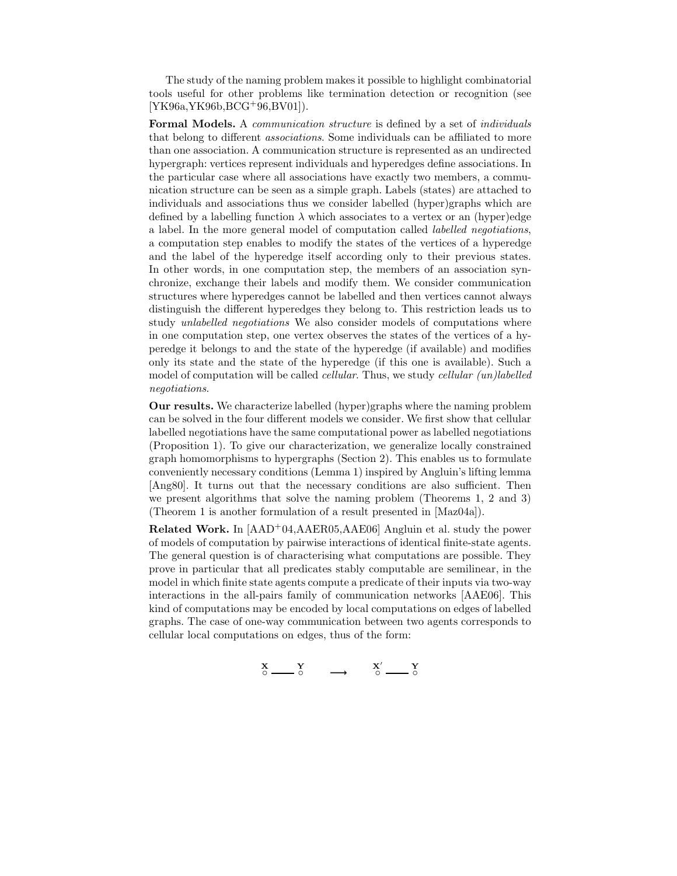The study of the naming problem makes it possible to highlight combinatorial tools useful for other problems like termination detection or recognition (see [YK96a,YK96b,BCG<sup>+</sup>96,BV01]).

Formal Models. A *communication structure* is defined by a set of *individuals* that belong to different associations. Some individuals can be affiliated to more than one association. A communication structure is represented as an undirected hypergraph: vertices represent individuals and hyperedges define associations. In the particular case where all associations have exactly two members, a communication structure can be seen as a simple graph. Labels (states) are attached to individuals and associations thus we consider labelled (hyper)graphs which are defined by a labelling function  $\lambda$  which associates to a vertex or an (hyper)edge a label. In the more general model of computation called labelled negotiations, a computation step enables to modify the states of the vertices of a hyperedge and the label of the hyperedge itself according only to their previous states. In other words, in one computation step, the members of an association synchronize, exchange their labels and modify them. We consider communication structures where hyperedges cannot be labelled and then vertices cannot always distinguish the different hyperedges they belong to. This restriction leads us to study *unlabelled negotiations* We also consider models of computations where in one computation step, one vertex observes the states of the vertices of a hyperedge it belongs to and the state of the hyperedge (if available) and modifies only its state and the state of the hyperedge (if this one is available). Such a model of computation will be called *cellular*. Thus, we study *cellular* (un)labelled negotiations.

Our results. We characterize labelled (hyper)graphs where the naming problem can be solved in the four different models we consider. We first show that cellular labelled negotiations have the same computational power as labelled negotiations (Proposition 1). To give our characterization, we generalize locally constrained graph homomorphisms to hypergraphs (Section 2). This enables us to formulate conveniently necessary conditions (Lemma 1) inspired by Angluin's lifting lemma [Ang80]. It turns out that the necessary conditions are also sufficient. Then we present algorithms that solve the naming problem (Theorems 1, 2 and 3) (Theorem 1 is another formulation of a result presented in [Maz04a]).

**Related Work.** In  $[AAD^+04,AAER05,AAE06]$  Angluin et al. study the power of models of computation by pairwise interactions of identical finite-state agents. The general question is of characterising what computations are possible. They prove in particular that all predicates stably computable are semilinear, in the model in which finite state agents compute a predicate of their inputs via two-way interactions in the all-pairs family of communication networks [AAE06]. This kind of computations may be encoded by local computations on edges of labelled graphs. The case of one-way communication between two agents corresponds to cellular local computations on edges, thus of the form:

$$
\begin{array}{ccc}\nX & & Y \\
\circ & & & \downarrow \\
\end{array}\n\quad \longrightarrow\n\quad \begin{array}{ccc}\nX' & & Y \\
\circ & & \downarrow \\
\end{array}
$$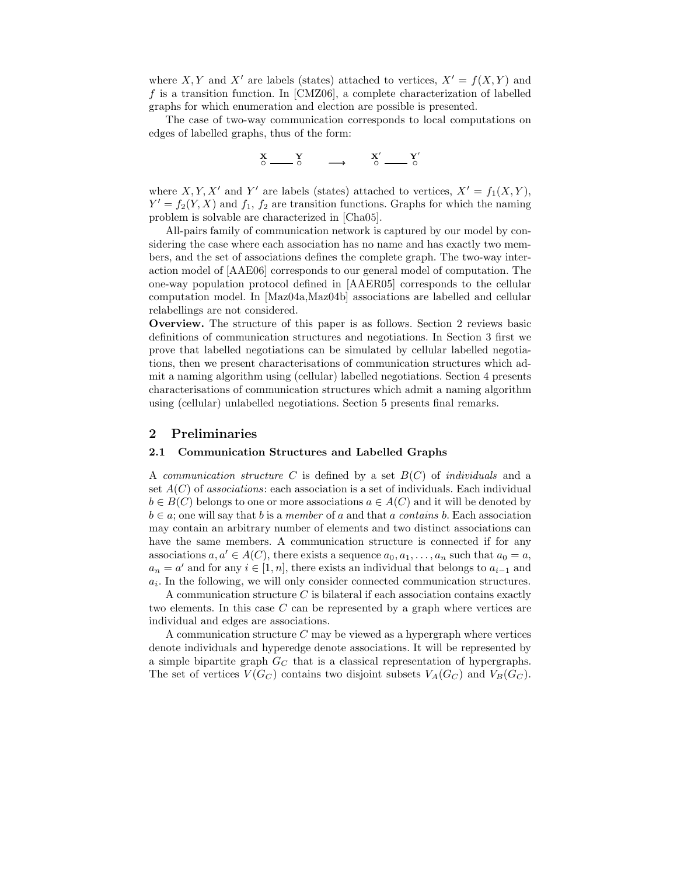where X, Y and X' are labels (states) attached to vertices,  $X' = f(X, Y)$  and f is a transition function. In [CMZ06], a complete characterization of labelled graphs for which enumeration and election are possible is presented.

The case of two-way communication corresponds to local computations on edges of labelled graphs, thus of the form:

$$
\begin{matrix}X&\text{-}Y\\ \circ &\text{-}\text{-}\end{matrix}\qquad\longrightarrow\qquad\begin{matrix}X'&\text{-}Y'\\ \circ &\text{-}\text{-}\end{matrix}
$$

where X, Y, X' and Y' are labels (states) attached to vertices,  $X' = f_1(X, Y)$ ,  $Y' = f_2(Y, X)$  and  $f_1, f_2$  are transition functions. Graphs for which the naming problem is solvable are characterized in [Cha05].

All-pairs family of communication network is captured by our model by considering the case where each association has no name and has exactly two members, and the set of associations defines the complete graph. The two-way interaction model of [AAE06] corresponds to our general model of computation. The one-way population protocol defined in [AAER05] corresponds to the cellular computation model. In [Maz04a,Maz04b] associations are labelled and cellular relabellings are not considered.

Overview. The structure of this paper is as follows. Section 2 reviews basic definitions of communication structures and negotiations. In Section 3 first we prove that labelled negotiations can be simulated by cellular labelled negotiations, then we present characterisations of communication structures which admit a naming algorithm using (cellular) labelled negotiations. Section 4 presents characterisations of communication structures which admit a naming algorithm using (cellular) unlabelled negotiations. Section 5 presents final remarks.

## 2 Preliminaries

#### 2.1 Communication Structures and Labelled Graphs

A communication structure C is defined by a set  $B(C)$  of individuals and a set  $A(C)$  of associations: each association is a set of individuals. Each individual  $b \in B(C)$  belongs to one or more associations  $a \in A(C)$  and it will be denoted by  $b \in a$ ; one will say that b is a member of a and that a contains b. Each association may contain an arbitrary number of elements and two distinct associations can have the same members. A communication structure is connected if for any associations  $a, a' \in A(C)$ , there exists a sequence  $a_0, a_1, \ldots, a_n$  such that  $a_0 = a$ ,  $a_n = a'$  and for any  $i \in [1, n]$ , there exists an individual that belongs to  $a_{i-1}$  and  $a_i$ . In the following, we will only consider connected communication structures.

A communication structure  $C$  is bilateral if each association contains exactly two elements. In this case  $C$  can be represented by a graph where vertices are individual and edges are associations.

A communication structure  $C$  may be viewed as a hypergraph where vertices denote individuals and hyperedge denote associations. It will be represented by a simple bipartite graph  $G_C$  that is a classical representation of hypergraphs. The set of vertices  $V(G_C)$  contains two disjoint subsets  $V_A(G_C)$  and  $V_B(G_C)$ .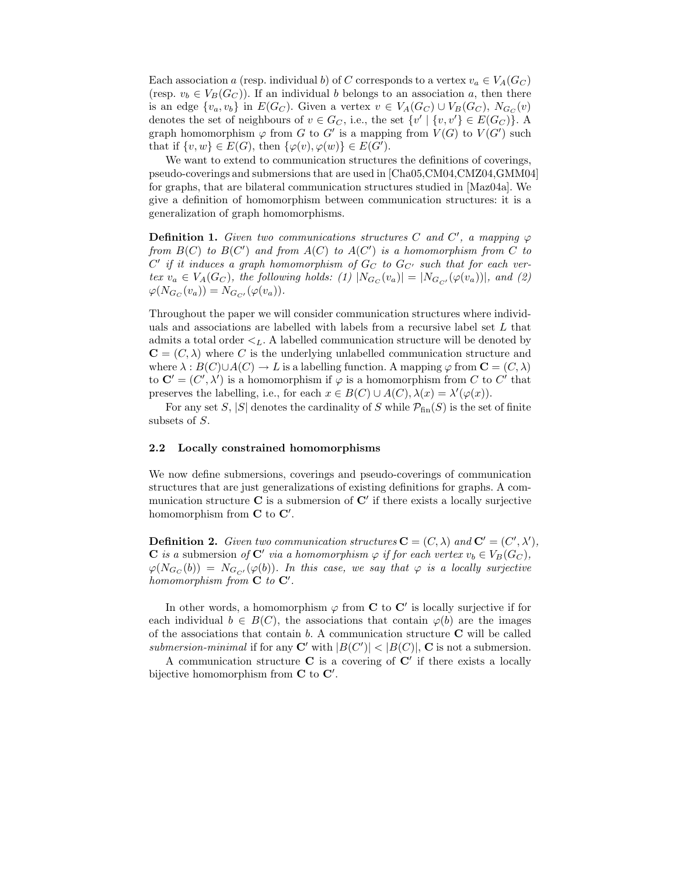Each association a (resp. individual b) of C corresponds to a vertex  $v_a \in V_A(G_C)$ (resp.  $v_b \in V_B(G_C)$ ). If an individual b belongs to an association a, then there is an edge  $\{v_a, v_b\}$  in  $E(G_C)$ . Given a vertex  $v \in V_A(G_C) \cup V_B(G_C)$ ,  $N_{G_C}(v)$ denotes the set of neighbours of  $v \in G_C$ , i.e., the set  $\{v' \mid \{v, v'\} \in E(G_C)\}$ . A graph homomorphism  $\varphi$  from G to G' is a mapping from  $V(G)$  to  $V(G')$  such that if  $\{v, w\} \in E(G)$ , then  $\{\varphi(v), \varphi(w)\} \in E(\widetilde{G}')$ .

We want to extend to communication structures the definitions of coverings, pseudo-coverings and submersions that are used in [Cha05,CM04,CMZ04,GMM04] for graphs, that are bilateral communication structures studied in [Maz04a]. We give a definition of homomorphism between communication structures: it is a generalization of graph homomorphisms.

**Definition 1.** Given two communications structures C and C', a mapping  $\varphi$ from  $B(C)$  to  $B(C')$  and from  $A(C)$  to  $A(C')$  is a homomorphism from  $C$  to  $C'$  if it induces a graph homomorphism of  $G_C$  to  $G_{C'}$  such that for each vertex  $v_a \in V_A(G_C)$ , the following holds: (1)  $|N_{G_C}(v_a)| = |N_{G_{C'}}(\varphi(v_a))|$ , and (2)  $\varphi(N_{G_C}(v_a)) = N_{G_{C'}}(\varphi(v_a)).$ 

Throughout the paper we will consider communication structures where individuals and associations are labelled with labels from a recursive label set L that admits a total order  $\lt_L$ . A labelled communication structure will be denoted by  $\mathbf{C} = (C, \lambda)$  where C is the underlying unlabelled communication structure and where  $\lambda : B(C) \cup A(C) \to L$  is a labelling function. A mapping  $\varphi$  from  $\mathbf{C} = (C, \lambda)$ to  $\mathbf{C}' = (C', \lambda')$  is a homomorphism if  $\varphi$  is a homomorphism from C to C' that preserves the labelling, i.e., for each  $x \in B(C) \cup A(C)$ ,  $\lambda(x) = \lambda'(\varphi(x))$ .

For any set S,  $|S|$  denotes the cardinality of S while  $\mathcal{P}_{fin}(S)$  is the set of finite subsets of S.

#### 2.2 Locally constrained homomorphisms

We now define submersions, coverings and pseudo-coverings of communication structures that are just generalizations of existing definitions for graphs. A communication structure  $\overline{C}$  is a submersion of  $C'$  if there exists a locally surjective homomorphism from  $C$  to  $C'$ .

**Definition 2.** Given two communication structures  $\mathbf{C} = (C, \lambda)$  and  $\mathbf{C}' = (C', \lambda')$ , **C** is a submersion of **C'** via a homomorphism  $\varphi$  if for each vertex  $v_b \in V_B(G_C)$ ,  $\varphi(N_{G_C}(b)) = N_{G_{C'}}(\varphi(b)).$  In this case, we say that  $\varphi$  is a locally surjective  $homomorphism$  from  $C$  to  $C'$ .

In other words, a homomorphism  $\varphi$  from **C** to **C'** is locally surjective if for each individual  $b \in B(C)$ , the associations that contain  $\varphi(b)$  are the images of the associations that contain  $b$ . A communication structure  $C$  will be called submersion-minimal if for any  $C'$  with  $|B(C')| < |B(C)|$ , C is not a submersion.

A communication structure **C** is a covering of  $\mathbb{C}'$  if there exists a locally bijective homomorphism from  $C$  to  $C'$ .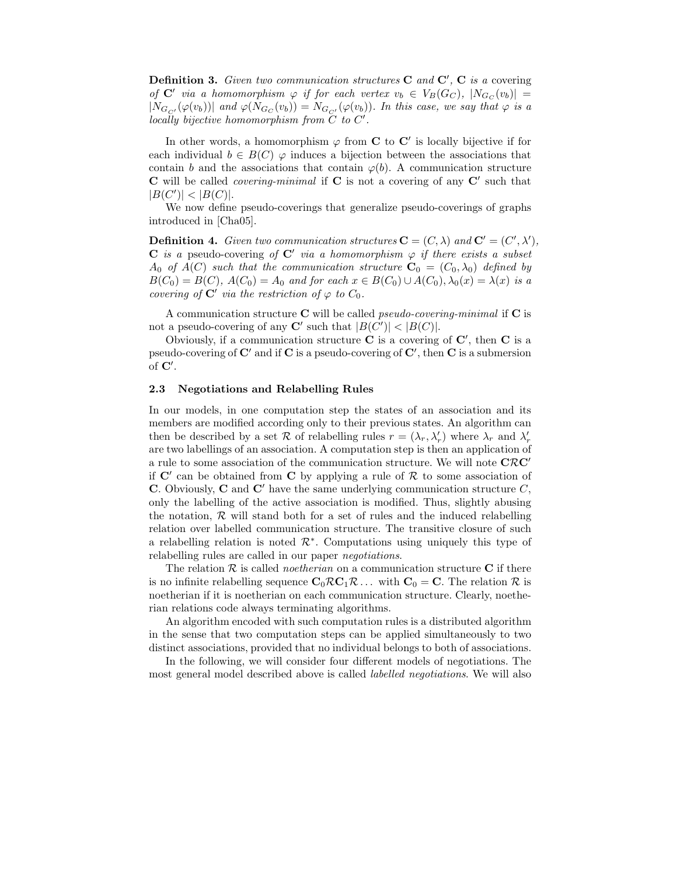**Definition 3.** Given two communication structures  $C$  and  $C'$ ,  $C$  is a covering of  $C'$  via a homomorphism  $\varphi$  if for each vertex  $v_b \in V_B(G_C)$ ,  $|N_{G_C}(v_b)| =$  $|N_{G_{C'}}(\varphi(v_b))|$  and  $\varphi(N_{G_C}(v_b)) = N_{G_{C'}}(\varphi(v_b))$ . In this case, we say that  $\varphi$  is a  $\overline{\text{locally bijective homomorphism from } C}$  to  $C'$ .

In other words, a homomorphism  $\varphi$  from **C** to **C**' is locally bijective if for each individual  $b \in B(C)$   $\varphi$  induces a bijection between the associations that contain b and the associations that contain  $\varphi(b)$ . A communication structure  $\bf{C}$  will be called *covering-minimal* if  $\bf{C}$  is not a covering of any  $\bf{C}'$  such that  $|B(C')| < |B(C)|$ .

We now define pseudo-coverings that generalize pseudo-coverings of graphs introduced in [Cha05].

**Definition 4.** Given two communication structures  $\mathbf{C} = (C, \lambda)$  and  $\mathbf{C}' = (C', \lambda')$ , **C** is a pseudo-covering of **C'** via a homomorphism  $\varphi$  if there exists a subset  $A_0$  of  $A(C)$  such that the communication structure  $\mathbf{C}_0 = (C_0, \lambda_0)$  defined by  $B(C_0) = B(C)$ ,  $A(C_0) = A_0$  and for each  $x \in B(C_0) \cup A(C_0)$ ,  $\lambda_0(x) = \lambda(x)$  is a covering of  $\mathbf{C}'$  via the restriction of  $\varphi$  to  $C_0$ .

A communication structure  $C$  will be called *pseudo-covering-minimal* if  $C$  is not a pseudo-covering of any  $\mathbb{C}'$  such that  $|B(C')| < |B(C)|$ .

Obviously, if a communication structure  $\tilde{C}$  is a covering of  $C'$ , then  $C$  is a pseudo-covering of  $\mathbf{C}'$  and if  $\mathbf{C}$  is a pseudo-covering of  $\mathbf{C}'$ , then  $\mathbf{C}$  is a submersion of  $\mathbf{C}'$ .

#### 2.3 Negotiations and Relabelling Rules

In our models, in one computation step the states of an association and its members are modified according only to their previous states. An algorithm can then be described by a set R of relabelling rules  $r = (\lambda_r, \lambda'_r)$  where  $\lambda_r$  and  $\lambda'_r$ are two labellings of an association. A computation step is then an application of a rule to some association of the communication structure. We will note CRC′ if  $\mathbf{C}'$  can be obtained from  $\mathbf{C}$  by applying a rule of  $\mathcal R$  to some association of C. Obviously, C and C' have the same underlying communication structure  $C$ , only the labelling of the active association is modified. Thus, slightly abusing the notation,  $\mathcal R$  will stand both for a set of rules and the induced relabelling relation over labelled communication structure. The transitive closure of such a relabelling relation is noted  $\mathcal{R}^*$ . Computations using uniquely this type of relabelling rules are called in our paper negotiations.

The relation  $\mathcal R$  is called *noetherian* on a communication structure C if there is no infinite relabelling sequence  $C_0 \mathcal{R} C_1 \mathcal{R} \dots$  with  $C_0 = C$ . The relation  $\mathcal R$  is noetherian if it is noetherian on each communication structure. Clearly, noetherian relations code always terminating algorithms.

An algorithm encoded with such computation rules is a distributed algorithm in the sense that two computation steps can be applied simultaneously to two distinct associations, provided that no individual belongs to both of associations.

In the following, we will consider four different models of negotiations. The most general model described above is called labelled negotiations. We will also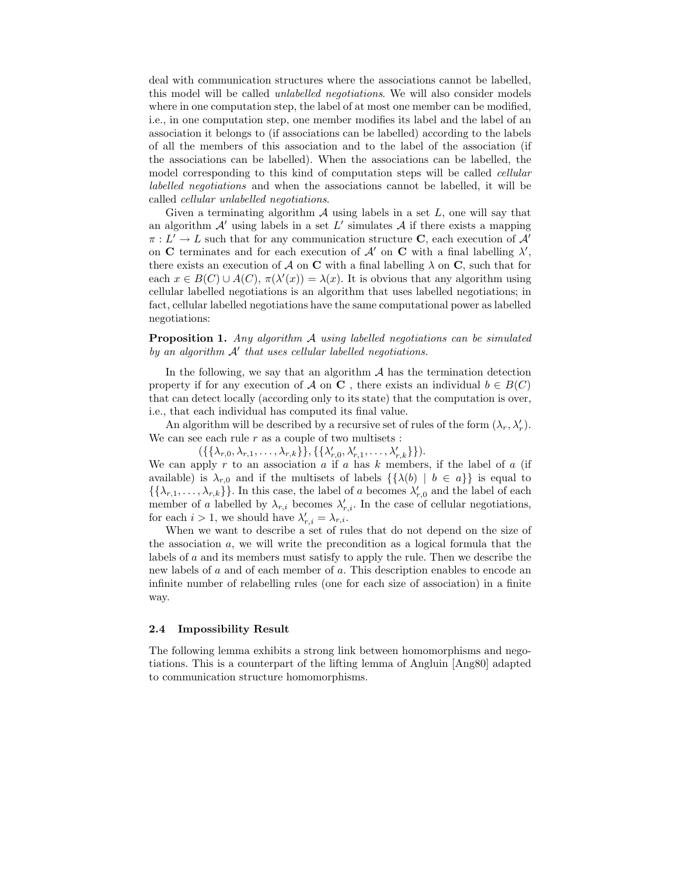deal with communication structures where the associations cannot be labelled, this model will be called unlabelled negotiations. We will also consider models where in one computation step, the label of at most one member can be modified, i.e., in one computation step, one member modifies its label and the label of an association it belongs to (if associations can be labelled) according to the labels of all the members of this association and to the label of the association (if the associations can be labelled). When the associations can be labelled, the model corresponding to this kind of computation steps will be called *cellular* labelled negotiations and when the associations cannot be labelled, it will be called cellular unlabelled negotiations.

Given a terminating algorithm  $A$  using labels in a set  $L$ , one will say that an algorithm  $A'$  using labels in a set  $L'$  simulates  $A$  if there exists a mapping  $\pi: L^{\prime} \to L$  such that for any communication structure **C**, each execution of  $\mathcal{A}^{\prime}$ on C terminates and for each execution of  $\mathcal{A}'$  on C with a final labelling  $\lambda'$ , there exists an execution of  $\mathcal A$  on  $\mathbf C$  with a final labelling  $\lambda$  on  $\mathbf C$ , such that for each  $x \in B(C) \cup A(C)$ ,  $\pi(\lambda'(x)) = \lambda(x)$ . It is obvious that any algorithm using cellular labelled negotiations is an algorithm that uses labelled negotiations; in fact, cellular labelled negotiations have the same computational power as labelled negotiations:

**Proposition 1.** Any algorithm A using labelled negotiations can be simulated by an algorithm  $A'$  that uses cellular labelled negotiations.

In the following, we say that an algorithm  $A$  has the termination detection property if for any execution of A on C, there exists an individual  $b \in B(C)$ that can detect locally (according only to its state) that the computation is over, i.e., that each individual has computed its final value.

An algorithm will be described by a recursive set of rules of the form  $(\lambda_r, \lambda'_r)$ . We can see each rule  $r$  as a couple of two multisets :

 $({\{\lambda_{r,0}, \lambda_{r,1}, \ldots, \lambda_{r,k}\}, {\{\lambda'_{r,0}, \lambda'_{r,1}, \ldots, \lambda'_{r,k}\}\}}).$ 

We can apply  $r$  to an association  $a$  if  $a$  has  $k$  members, if the label of  $a$  (if available) is  $\lambda_{r,0}$  and if the multisets of labels  $\{\lambda(b) | b \in a\}$  is equal to  $\{\{\lambda_{r,1},\ldots,\lambda_{r,k}\}\}\.$  In this case, the label of a becomes  $\lambda'_{r,0}$  and the label of each member of a labelled by  $\lambda_{r,i}$  becomes  $\lambda'_{r,i}$ . In the case of cellular negotiations, for each  $i > 1$ , we should have  $\lambda'_{r,i} = \lambda_{r,i}$ .

When we want to describe a set of rules that do not depend on the size of the association a, we will write the precondition as a logical formula that the labels of a and its members must satisfy to apply the rule. Then we describe the new labels of a and of each member of a. This description enables to encode an infinite number of relabelling rules (one for each size of association) in a finite way.

#### 2.4 Impossibility Result

The following lemma exhibits a strong link between homomorphisms and negotiations. This is a counterpart of the lifting lemma of Angluin [Ang80] adapted to communication structure homomorphisms.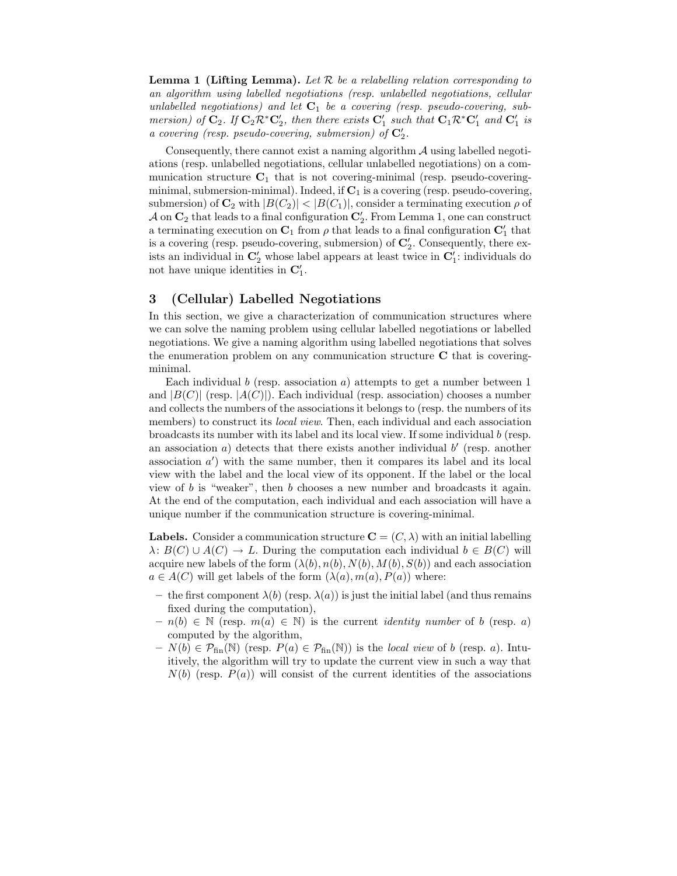**Lemma 1 (Lifting Lemma).** Let  $\mathcal{R}$  be a relabelling relation corresponding to an algorithm using labelled negotiations (resp. unlabelled negotiations, cellular unlabelled negotiations) and let  $C_1$  be a covering (resp. pseudo-covering, submersion) of  $C_2$ . If  $C_2 \mathcal{R}^* C_2'$ , then there exists  $C_1'$  such that  $C_1 \mathcal{R}^* C_1'$  and  $C_1'$  is a covering (resp. pseudo-covering, submersion) of  $C_2'$ .

Consequently, there cannot exist a naming algorithm  $A$  using labelled negotiations (resp. unlabelled negotiations, cellular unlabelled negotiations) on a communication structure  $C_1$  that is not covering-minimal (resp. pseudo-coveringminimal, submersion-minimal). Indeed, if  $C_1$  is a covering (resp. pseudo-covering, submersion) of  $\mathbb{C}_2$  with  $|B(C_2)| < |B(C_1)|$ , consider a terminating execution  $\rho$  of  ${\cal A}$  on  ${\bf C}_2$  that leads to a final configuration  ${\bf C}_2'$ . From Lemma 1, one can construct a terminating execution on  $\mathbf{C}_1$  from  $\rho$  that leads to a final configuration  $\mathbf{C}'_1$  that is a covering (resp. pseudo-covering, submersion) of  $\mathbb{C}'_2$ . Consequently, there exists an individual in  $\mathbb{C}'_2$  whose label appears at least twice in  $\mathbb{C}'_1$ : individuals do not have unique identities in  $\mathbf{C}'_1$ .

# 3 (Cellular) Labelled Negotiations

In this section, we give a characterization of communication structures where we can solve the naming problem using cellular labelled negotiations or labelled negotiations. We give a naming algorithm using labelled negotiations that solves the enumeration problem on any communication structure  $C$  that is coveringminimal.

Each individual b (resp. association a) attempts to get a number between  $1$ and  $|B(C)|$  (resp.  $|A(C)|$ ). Each individual (resp. association) chooses a number and collects the numbers of the associations it belongs to (resp. the numbers of its members) to construct its *local view*. Then, each individual and each association broadcasts its number with its label and its local view. If some individual b (resp. an association  $a$ ) detects that there exists another individual  $b'$  (resp. another association  $a'$ ) with the same number, then it compares its label and its local view with the label and the local view of its opponent. If the label or the local view of b is "weaker", then b chooses a new number and broadcasts it again. At the end of the computation, each individual and each association will have a unique number if the communication structure is covering-minimal.

**Labels.** Consider a communication structure  $C = (C, \lambda)$  with an initial labelling  $\lambda: B(C) \cup A(C) \to L$ . During the computation each individual  $b \in B(C)$  will acquire new labels of the form  $(\lambda(b), n(b), N(b), M(b), S(b))$  and each association  $a \in A(C)$  will get labels of the form  $(\lambda(a), m(a), P(a))$  where:

- the first component  $\lambda(b)$  (resp.  $\lambda(a)$ ) is just the initial label (and thus remains fixed during the computation),
- $n(b) \in \mathbb{N}$  (resp.  $m(a) \in \mathbb{N}$ ) is the current *identity number* of b (resp. a) computed by the algorithm,
- $-V(b) \in \mathcal{P}_{fin}(\mathbb{N})$  (resp.  $P(a) \in \mathcal{P}_{fin}(\mathbb{N})$ ) is the local view of b (resp. a). Intuitively, the algorithm will try to update the current view in such a way that  $N(b)$  (resp.  $P(a)$ ) will consist of the current identities of the associations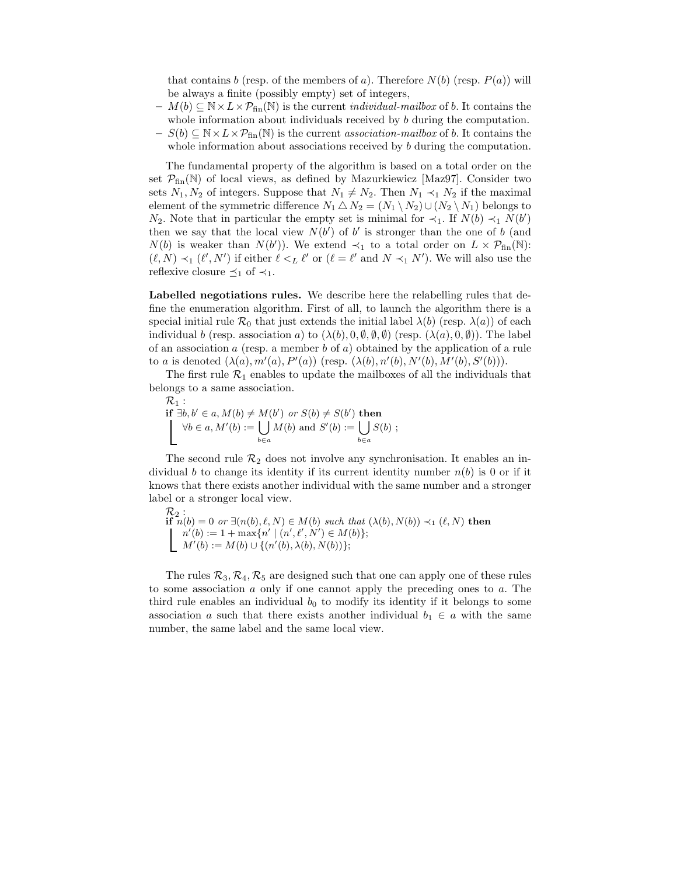that contains b (resp. of the members of a). Therefore  $N(b)$  (resp.  $P(a)$ ) will be always a finite (possibly empty) set of integers,

- $M(b) \subseteq \mathbb{N} \times L \times \mathcal{P}_{fin}(\mathbb{N})$  is the current *individual-mailbox* of b. It contains the whole information about individuals received by b during the computation.
- $S(b) \subseteq N \times L \times \mathcal{P}_{fin}(N)$  is the current association-mailbox of b. It contains the whole information about associations received by b during the computation.

The fundamental property of the algorithm is based on a total order on the set  $\mathcal{P}_{fin}(\mathbb{N})$  of local views, as defined by Mazurkiewicz [Maz97]. Consider two sets  $N_1, N_2$  of integers. Suppose that  $N_1 \neq N_2$ . Then  $N_1 \prec_1 N_2$  if the maximal element of the symmetric difference  $N_1 \triangle N_2 = (N_1 \setminus N_2) \cup (N_2 \setminus N_1)$  belongs to  $N_2$ . Note that in particular the empty set is minimal for  $\prec_1$ . If  $N(b) \prec_1 N(b')$ then we say that the local view  $N(b')$  of b' is stronger than the one of b (and  $N(b)$  is weaker than  $N(b')$ ). We extend  $\prec_1$  to a total order on  $L \times \mathcal{P}_{fin}(\mathbb{N})$ :  $(\ell, N) \prec_1 (\ell', N')$  if either  $\ell' \leq_L \ell'$  or  $(\ell = \ell'$  and  $N \prec_1 N'$ ). We will also use the reflexive closure  $\preceq_1$  of  $\prec_1$ .

Labelled negotiations rules. We describe here the relabelling rules that define the enumeration algorithm. First of all, to launch the algorithm there is a special initial rule  $\mathcal{R}_0$  that just extends the initial label  $\lambda(b)$  (resp.  $\lambda(a)$ ) of each individual b (resp. association a) to  $(\lambda(b), 0, \emptyset, \emptyset, \emptyset)$  (resp.  $(\lambda(a), 0, \emptyset)$ ). The label of an association  $a$  (resp. a member  $b$  of  $a$ ) obtained by the application of a rule to a is denoted  $(\lambda(a), m'(a), P'(a))$  (resp.  $(\lambda(b), n'(b), N'(b), M'(b), S'(b))$ ).

The first rule  $\mathcal{R}_1$  enables to update the mailboxes of all the individuals that belongs to a same association.

 $\mathcal{R}_1$  : if  $\exists b, b' \in a, M(b) \neq M(b')$  or  $S(b) \neq S(b')$  then  $\forall b \in a, M'(b) := \begin{bmatrix} \end{bmatrix}$ b∈a  $M(b)$  and  $S'(b) := \begin{bmatrix} \end{bmatrix}$ b∈a  $S(b)$  ;

The second rule  $\mathcal{R}_2$  does not involve any synchronisation. It enables an individual b to change its identity if its current identity number  $n(b)$  is 0 or if it knows that there exists another individual with the same number and a stronger label or a stronger local view.

$$
R_2: \nif n(b) = 0 or ∃(n(b), l, N) ∈ M(b) such that (λ(b), N(b)) 1 (l, N) then\n
$$
n'(b) := 1 + max{n' | (n', l', N') ∈ M(b)};\nM'(b) := M(b) ∪ { (n'(b), λ(b), N(b))};
$$
$$

The rules  $\mathcal{R}_3, \mathcal{R}_4, \mathcal{R}_5$  are designed such that one can apply one of these rules to some association a only if one cannot apply the preceding ones to a. The third rule enables an individual  $b_0$  to modify its identity if it belongs to some association a such that there exists another individual  $b_1 \in a$  with the same number, the same label and the same local view.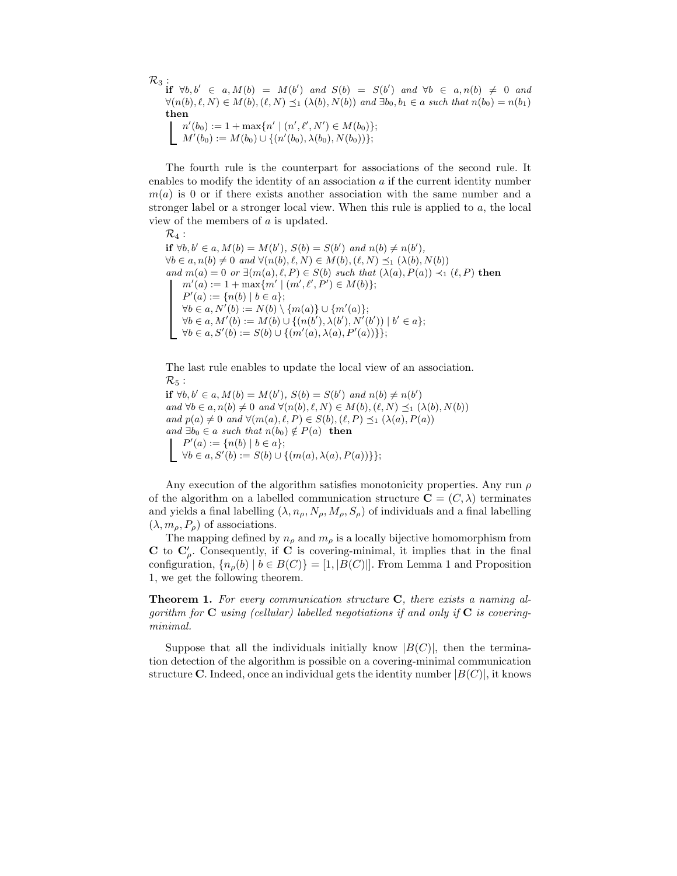$\mathcal{R}_3$ :<br>if  $\forall b, b' \in a, M(b) = M(b')$  and  $S(b) = S(b')$  and  $\forall b \in a, n(b) \neq 0$  and  $\forall (n(b), \ell, N) \in M(b), (\ell, N) \preceq_1 (\lambda(b), N(b))$  and  $\exists b_0, b_1 \in a$  such that  $n(b_0) = n(b_1)$ then  $n'(b_0) := 1 + \max\{n' \mid (n', \ell', N') \in M(b_0)\};$ 

 $M'(b_0) := M(b_0) \cup \{(n'(b_0), \lambda(b_0), N(b_0))\};$ 

The fourth rule is the counterpart for associations of the second rule. It enables to modify the identity of an association a if the current identity number  $m(a)$  is 0 or if there exists another association with the same number and a stronger label or a stronger local view. When this rule is applied to  $a$ , the local view of the members of a is updated.

 $\mathcal{R}_4$  : if  $\forall b, b' \in a, M(b) = M(b'), S(b) = S(b')$  and  $n(b) \neq n(b'),$  $\forall b \in a, n(b) \neq 0 \text{ and } \forall (n(b), \ell, N) \in M(b), (\ell, N) \preceq_1 (\lambda(b), N(b))$ and  $m(a) = 0$  or  $\exists (m(a), \ell, P) \in S(b)$  such that  $(\lambda(a), P(a)) \prec_1 (\ell, P)$  then  $m'(a) := 1 + \max\{m' \mid (m', \ell', P') \in M(b)\};$  $P'(a) := \{n(b) | b \in a\};$  $\forall b \in a, N'(b) := N(b) \setminus \{m(a)\} \cup \{m'(a)\};$  $\forall b \in a, M'(b) := M(b) \cup \{(n(b'), \lambda(b'), N'(b')) \mid b' \in a\};$  $\forall b \in a, S'(b) := S(b) \cup \{(m'(a), \lambda(a), P'(a))\}\};$ 

The last rule enables to update the local view of an association.  $\mathcal{R}_5$ :

if  $\forall b, b' \in a, M(b) = M(b'), S(b) = S(b')$  and  $n(b) \neq n(b')$ and  $\forall b \in a, n(b) \neq 0$  and  $\forall (n(b), \ell, N) \in M(b), (\ell, N) \preceq_1 (\lambda(b), N(b))$ and  $p(a) \neq 0$  and  $\forall (m(a), \ell, P) \in S(b), (\ell, P) \preceq_1 (\lambda(a), P(a))$ and  $\exists b_0 \in a$  such that  $n(b_0) \notin P(a)$  then  $P'(a) := \{n(b) | b \in a\};$  $\forall b \in a, S'(b) := S(b) \cup \{(m(a), \lambda(a), P(a))\}\};$ 

Any execution of the algorithm satisfies monotonicity properties. Any run  $\rho$ of the algorithm on a labelled communication structure  $\mathbf{C} = (C, \lambda)$  terminates and yields a final labelling  $(\lambda, n_{\rho}, N_{\rho}, M_{\rho}, S_{\rho})$  of individuals and a final labelling  $(\lambda, m_o, P_o)$  of associations.

The mapping defined by  $n_{\rho}$  and  $m_{\rho}$  is a locally bijective homomorphism from C to  $\mathbf{C}'_{\rho}$ . Consequently, if  $\mathbf{C}$  is covering-minimal, it implies that in the final configuration,  $\{n_{\rho}(b) \mid b \in B(C)\} = [1, |B(C)|]$ . From Lemma 1 and Proposition 1, we get the following theorem.

**Theorem 1.** For every communication structure  $C$ , there exists a naming algorithm for  $C$  using (cellular) labelled negotiations if and only if  $C$  is coveringminimal.

Suppose that all the individuals initially know  $|B(C)|$ , then the termination detection of the algorithm is possible on a covering-minimal communication structure C. Indeed, once an individual gets the identity number  $|B(C)|$ , it knows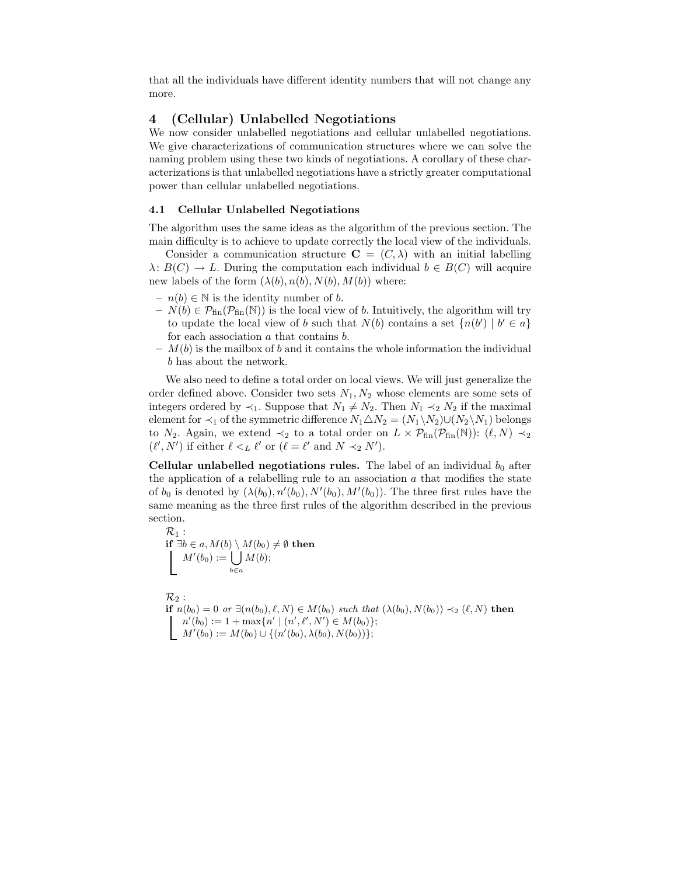that all the individuals have different identity numbers that will not change any more.

## 4 (Cellular) Unlabelled Negotiations

We now consider unlabelled negotiations and cellular unlabelled negotiations. We give characterizations of communication structures where we can solve the naming problem using these two kinds of negotiations. A corollary of these characterizations is that unlabelled negotiations have a strictly greater computational power than cellular unlabelled negotiations.

#### 4.1 Cellular Unlabelled Negotiations

The algorithm uses the same ideas as the algorithm of the previous section. The main difficulty is to achieve to update correctly the local view of the individuals.

Consider a communication structure  $C = (C, \lambda)$  with an initial labelling  $\lambda: B(C) \to L$ . During the computation each individual  $b \in B(C)$  will acquire new labels of the form  $(\lambda(b), n(b), N(b), M(b))$  where:

- $n(b) \in \mathbb{N}$  is the identity number of b.
- $N(b) \in \mathcal{P}_{fin}(\mathcal{P}_{fin}(\mathbb{N}))$  is the local view of b. Intuitively, the algorithm will try to update the local view of b such that  $N(b)$  contains a set  $\{n(b') \mid b' \in a\}$ for each association a that contains b.
- $M(b)$  is the mailbox of b and it contains the whole information the individual b has about the network.

We also need to define a total order on local views. We will just generalize the order defined above. Consider two sets  $N_1, N_2$  whose elements are some sets of integers ordered by  $\prec_1$ . Suppose that  $N_1 \neq N_2$ . Then  $N_1 \prec_2 N_2$  if the maximal element for  $\prec_1$  of the symmetric difference  $N_1 \triangle N_2 = (N_1 \setminus N_2) \cup (N_2 \setminus N_1)$  belongs to N<sub>2</sub>. Again, we extend  $\prec_2$  to a total order on  $L \times \mathcal{P}_{fin}(\mathcal{P}_{fin}(\mathbb{N}))$ :  $(\ell, N) \prec_2$  $(\ell', N')$  if either  $\ell <_L \ell'$  or  $(\ell = \ell'$  and  $N \prec_2 N'$ ).

Cellular unlabelled negotiations rules. The label of an individual  $b_0$  after the application of a relabelling rule to an association  $a$  that modifies the state of  $b_0$  is denoted by  $(\lambda(b_0), n'(b_0), N'(b_0), M'(b_0))$ . The three first rules have the same meaning as the three first rules of the algorithm described in the previous section.

 $\mathcal{R}_1$  : if  $\exists b \in a, M(b) \setminus M(b_0) \neq \emptyset$  then  $M'(b_0) := \begin{pmatrix} \end{pmatrix}$ b∈a  $M(b);$ 

 $\mathcal{R}_2$  : if  $n(b_0) = 0$  or  $\exists (n(b_0), \ell, N) \in M(b_0)$  such that  $(\lambda(b_0), N(b_0)) \prec_2 (\ell, N)$  then  $n'(b_0) := 1 + \max\{n' \mid (n', \ell', N') \in M(b_0)\};$  $M'(b_0) := M(b_0) \cup \{(n'(b_0), \lambda(b_0), N(b_0))\};$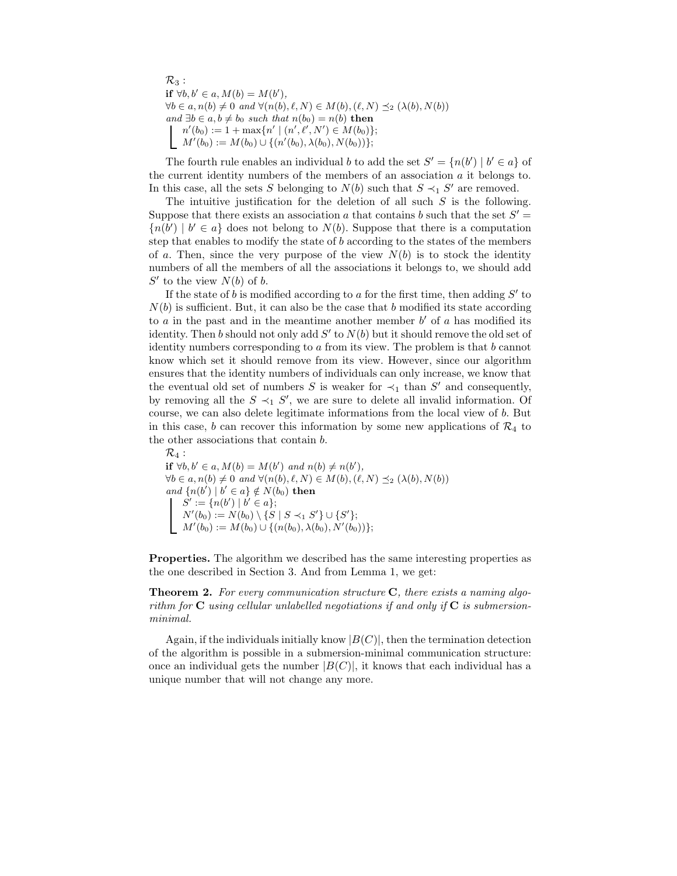$\mathcal{R}_3$  : if  $\forall b, b' \in a, M(b) = M(b'),$  $\forall b \in a, n(b) \neq 0 \text{ and } \forall (n(b), \ell, N) \in M(b), (\ell, N) \preceq_2 (\lambda(b), N(b))$ and  $\exists b \in a, b \neq b_0$  such that  $n(b_0) = n(b)$  then  $n'(b_0) := 1 + \max\{n' \mid (n', \ell', N') \in M(b_0)\};$  $M'(b_0) := M(b_0) \cup \{(n'(b_0), \lambda(b_0), N(b_0))\};$ 

The fourth rule enables an individual b to add the set  $S' = \{n(b') \mid b' \in a\}$  of the current identity numbers of the members of an association a it belongs to. In this case, all the sets S belonging to  $N(b)$  such that  $S \prec_1 S'$  are removed.

The intuitive justification for the deletion of all such  $S$  is the following. Suppose that there exists an association a that contains b such that the set  $S' =$  ${n(b') | b' \in a}$  does not belong to  $N(b)$ . Suppose that there is a computation step that enables to modify the state of  $b$  according to the states of the members of a. Then, since the very purpose of the view  $N(b)$  is to stock the identity numbers of all the members of all the associations it belongs to, we should add  $S'$  to the view  $N(b)$  of b.

If the state of  $\hat{b}$  is modified according to a for the first time, then adding  $S'$  to  $N(b)$  is sufficient. But, it can also be the case that b modified its state according to a in the past and in the meantime another member  $b'$  of a has modified its identity. Then b should not only add  $S'$  to  $N(b)$  but it should remove the old set of identity numbers corresponding to  $\alpha$  from its view. The problem is that  $b$  cannot know which set it should remove from its view. However, since our algorithm ensures that the identity numbers of individuals can only increase, we know that the eventual old set of numbers S is weaker for  $\prec_1$  than S' and consequently, by removing all the  $S \prec_1 S'$ , we are sure to delete all invalid information. Of course, we can also delete legitimate informations from the local view of b. But in this case, b can recover this information by some new applications of  $\mathcal{R}_4$  to the other associations that contain b.

 $\mathcal{R}_4$  : if  $\forall b, b' \in a, M(b) = M(b')$  and  $n(b) \neq n(b')$ ,  $\forall b \in a, n(b) \neq 0 \text{ and } \forall (n(b), \ell, N) \in M(b), (\ell, N) \preceq_2 (\lambda(b), N(b))$ and  $\{n(b') \mid b' \in a\} \notin N(b_0)$  then  $S' := \{ n(b') \mid b' \in a \};$  $N'(b_0) := N(b_0) \setminus \{S \mid S \prec_1 S' \} \cup \{S'\};$  $M'(b_0) := M(b_0) \cup \{(n(b_0), \lambda(b_0), N'(b_0))\};$ 

Properties. The algorithm we described has the same interesting properties as the one described in Section 3. And from Lemma 1, we get:

**Theorem 2.** For every communication structure  $C$ , there exists a naming algorithm for  $C$  using cellular unlabelled negotiations if and only if  $C$  is submersionminimal.

Again, if the individuals initially know  $|B(C)|$ , then the termination detection of the algorithm is possible in a submersion-minimal communication structure: once an individual gets the number  $|B(C)|$ , it knows that each individual has a unique number that will not change any more.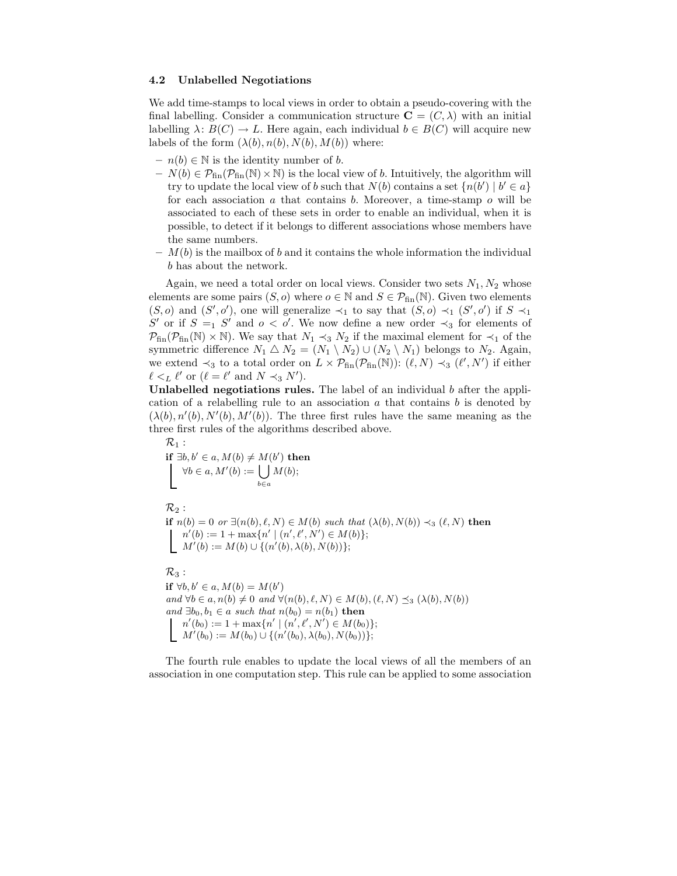#### 4.2 Unlabelled Negotiations

We add time-stamps to local views in order to obtain a pseudo-covering with the final labelling. Consider a communication structure  $\mathbf{C} = (C, \lambda)$  with an initial labelling  $\lambda: B(C) \to L$ . Here again, each individual  $b \in B(C)$  will acquire new labels of the form  $(\lambda(b), n(b), N(b), M(b))$  where:

- $n(b) \in \mathbb{N}$  is the identity number of b.
- $N(b) \in \mathcal{P}_{fin}(\mathcal{P}_{fin}(\mathbb{N}) \times \mathbb{N})$  is the local view of b. Intuitively, the algorithm will try to update the local view of b such that  $N(b)$  contains a set  $\{n(b') \mid b' \in a\}$ for each association  $a$  that contains  $b$ . Moreover, a time-stamp  $o$  will be associated to each of these sets in order to enable an individual, when it is possible, to detect if it belongs to different associations whose members have the same numbers.
- $M(b)$  is the mailbox of b and it contains the whole information the individual b has about the network.

Again, we need a total order on local views. Consider two sets  $N_1, N_2$  whose elements are some pairs  $(S, o)$  where  $o \in \mathbb{N}$  and  $S \in \mathcal{P}_{fin}(\mathbb{N})$ . Given two elements  $(S, o)$  and  $(S', o')$ , one will generalize  $\prec_1$  to say that  $(S, o) \prec_1 (S', o')$  if  $S \prec_1$ S' or if  $S = \overline{S'}$  and  $o < o'$ . We now define a new order  $\prec_3$  for elements of  $\mathcal{P}_{fin}(\mathcal{P}_{fin}(\mathbb{N}) \times \mathbb{N})$ . We say that  $N_1 \prec_3 N_2$  if the maximal element for  $\prec_1$  of the symmetric difference  $N_1 \triangle N_2 = (N_1 \setminus N_2) \cup (N_2 \setminus N_1)$  belongs to  $N_2$ . Again, we extend  $\prec_3$  to a total order on  $L \times \mathcal{P}_{fin}(\mathcal{P}_{fin}(\mathbb{N}))$ :  $(\ell, N) \prec_3 (\ell', N')$  if either  $\ell <_L \ell'$  or  $(\ell = \ell'$  and  $N \prec_3 N'$ ).

Unlabelled negotiations rules. The label of an individual  $b$  after the application of a relabelling rule to an association  $a$  that contains  $b$  is denoted by  $(\lambda(b), n'(b), N'(b), M'(\tilde{b}))$ . The three first rules have the same meaning as the three first rules of the algorithms described above.

$$
\mathcal{R}_1: \text{if } \exists b, b' \in a, M(b) \neq M(b') \text{ then} \\ \downarrow \forall b \in a, M'(b) := \bigcup_{b \in a} M(b);
$$

 $\mathcal{R}_2$ : if  $n(b) = 0$  or  $\exists (n(b), \ell, N) \in M(b)$  such that  $(\lambda(b), N(b)) \prec_{3} (\ell, N)$  then  $n'(b) := 1 + \max\{n' \mid (n', \ell', N') \in M(b)\};$  $M'(b) := M(b) \cup \{(n'(b), \lambda(b), N(b))\};$ 

 $\mathcal{R}_3$  :

if  $\forall b, b' \in a, M(b) = M(b')$ and  $\forall b \in a, n(b) \neq 0$  and  $\forall (n(b), \ell, N) \in M(b), (\ell, N) \preceq_{3} (\lambda(b), N(b))$ and  $\exists b_0, b_1 \in a$  such that  $n(b_0) = n(b_1)$  then  $n'(b_0) := 1 + \max\{n' \mid (n', \ell', N') \in M(b_0)\};$  $M'(b_0) := M(b_0) \cup \{(n'(b_0), \lambda(b_0), N(b_0))\};$ 

The fourth rule enables to update the local views of all the members of an association in one computation step. This rule can be applied to some association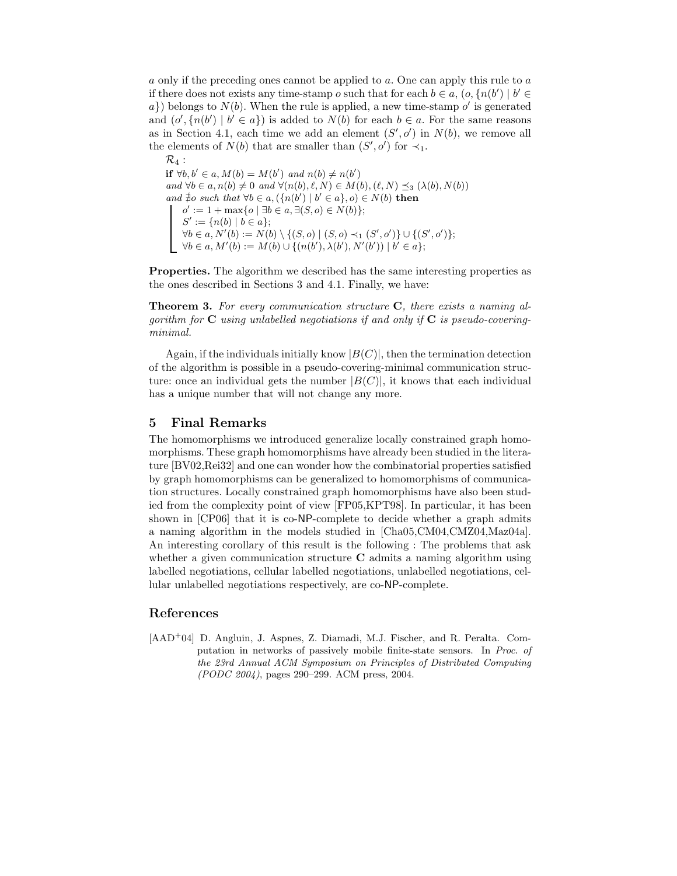a only if the preceding ones cannot be applied to a. One can apply this rule to a if there does not exists any time-stamp o such that for each  $b \in a$ ,  $(o, \{n(b') \mid b' \in a\})$ a}) belongs to  $N(b)$ . When the rule is applied, a new time-stamp o' is generated and  $(o', \{n(b') \mid b' \in a\})$  is added to  $N(b)$  for each  $b \in a$ . For the same reasons as in Section 4.1, each time we add an element  $(S', o')$  in  $N(b)$ , we remove all the elements of  $N(b)$  that are smaller than  $(S', o')$  for  $\prec_1$ .

 $\mathcal{R}_4$  : if  $\forall b, b' \in a, M(b) = M(b')$  and  $n(b) \neq n(b')$ and  $\forall b \in a, n(b) \neq 0$  and  $\forall (n(b), \ell, N) \in M(b), (\ell, N) \preceq_{3} (\lambda(b), N(b))$ and  $\nexists o \text{ such that } \forall b \in a, (\{n(b') \mid b' \in a\}, o) \in N(b) \text{ then}$  $o' := 1 + \max\{o \mid \exists b \in a, \exists (S, o) \in N(b)\};$  $S' := \{n(b) | b \in a\};$  $\forall b \in a, N'(b) := N(b) \setminus \{(S, o) \mid (S, o) \prec_1 (S', o')\} \cup \{(S', o')\};$  $\forall b \in a, M'(b) := M(b) \cup \{(n(b'), \lambda(b'), N'(b')) \mid b' \in a\};$ 

Properties. The algorithm we described has the same interesting properties as the ones described in Sections 3 and 4.1. Finally, we have:

Theorem 3. For every communication structure C, there exists a naming algorithm for  $C$  using unlabelled negotiations if and only if  $C$  is pseudo-coveringminimal.

Again, if the individuals initially know  $|B(C)|$ , then the termination detection of the algorithm is possible in a pseudo-covering-minimal communication structure: once an individual gets the number  $|B(C)|$ , it knows that each individual has a unique number that will not change any more.

## 5 Final Remarks

The homomorphisms we introduced generalize locally constrained graph homomorphisms. These graph homomorphisms have already been studied in the literature [BV02,Rei32] and one can wonder how the combinatorial properties satisfied by graph homomorphisms can be generalized to homomorphisms of communication structures. Locally constrained graph homomorphisms have also been studied from the complexity point of view [FP05,KPT98]. In particular, it has been shown in [CP06] that it is co-NP-complete to decide whether a graph admits a naming algorithm in the models studied in [Cha05,CM04,CMZ04,Maz04a]. An interesting corollary of this result is the following : The problems that ask whether a given communication structure  $C$  admits a naming algorithm using labelled negotiations, cellular labelled negotiations, unlabelled negotiations, cellular unlabelled negotiations respectively, are co-NP-complete.

## References

[AAD<sup>+</sup>04] D. Angluin, J. Aspnes, Z. Diamadi, M.J. Fischer, and R. Peralta. Computation in networks of passively mobile finite-state sensors. In Proc. of the 23rd Annual ACM Symposium on Principles of Distributed Computing (PODC 2004), pages 290–299. ACM press, 2004.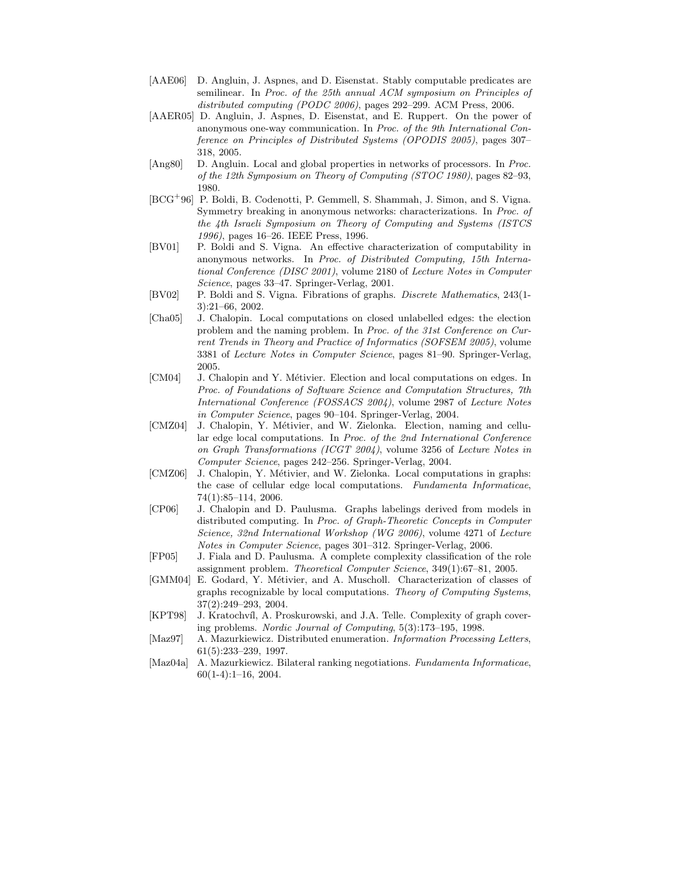- [AAE06] D. Angluin, J. Aspnes, and D. Eisenstat. Stably computable predicates are semilinear. In Proc. of the 25th annual ACM symposium on Principles of distributed computing (PODC 2006), pages 292–299. ACM Press, 2006.
- [AAER05] D. Angluin, J. Aspnes, D. Eisenstat, and E. Ruppert. On the power of anonymous one-way communication. In Proc. of the 9th International Conference on Principles of Distributed Systems (OPODIS 2005), pages 307– 318, 2005.
- [Ang80] D. Angluin. Local and global properties in networks of processors. In Proc. of the 12th Symposium on Theory of Computing (STOC 1980), pages 82–93, 1980.
- [BCG<sup>+</sup>96] P. Boldi, B. Codenotti, P. Gemmell, S. Shammah, J. Simon, and S. Vigna. Symmetry breaking in anonymous networks: characterizations. In Proc. of the 4th Israeli Symposium on Theory of Computing and Systems (ISTCS 1996), pages 16–26. IEEE Press, 1996.
- [BV01] P. Boldi and S. Vigna. An effective characterization of computability in anonymous networks. In Proc. of Distributed Computing, 15th International Conference (DISC 2001), volume 2180 of Lecture Notes in Computer Science, pages 33–47. Springer-Verlag, 2001.
- [BV02] P. Boldi and S. Vigna. Fibrations of graphs. Discrete Mathematics, 243(1- 3):21–66, 2002.
- [Cha05] J. Chalopin. Local computations on closed unlabelled edges: the election problem and the naming problem. In Proc. of the 31st Conference on Current Trends in Theory and Practice of Informatics (SOFSEM 2005), volume 3381 of Lecture Notes in Computer Science, pages 81–90. Springer-Verlag, 2005.
- [CM04] J. Chalopin and Y. Métivier. Election and local computations on edges. In Proc. of Foundations of Software Science and Computation Structures, 7th International Conference (FOSSACS 2004), volume 2987 of Lecture Notes in Computer Science, pages 90–104. Springer-Verlag, 2004.
- [CMZ04] J. Chalopin, Y. Métivier, and W. Zielonka. Election, naming and cellular edge local computations. In Proc. of the 2nd International Conference on Graph Transformations (ICGT 2004), volume 3256 of Lecture Notes in Computer Science, pages 242–256. Springer-Verlag, 2004.
- [CMZ06] J. Chalopin, Y. Métivier, and W. Zielonka. Local computations in graphs: the case of cellular edge local computations. Fundamenta Informaticae, 74(1):85–114, 2006.
- [CP06] J. Chalopin and D. Paulusma. Graphs labelings derived from models in distributed computing. In Proc. of Graph-Theoretic Concepts in Computer Science, 32nd International Workshop (WG 2006), volume 4271 of Lecture Notes in Computer Science, pages 301–312. Springer-Verlag, 2006.
- [FP05] J. Fiala and D. Paulusma. A complete complexity classification of the role assignment problem. Theoretical Computer Science, 349(1):67–81, 2005.
- [GMM04] E. Godard, Y. Métivier, and A. Muscholl. Characterization of classes of graphs recognizable by local computations. Theory of Computing Systems, 37(2):249–293, 2004.
- [KPT98] J. Kratochvíl, A. Proskurowski, and J.A. Telle. Complexity of graph covering problems. Nordic Journal of Computing, 5(3):173–195, 1998.
- [Maz97] A. Mazurkiewicz. Distributed enumeration. Information Processing Letters, 61(5):233–239, 1997.
- [Maz04a] A. Mazurkiewicz. Bilateral ranking negotiations. Fundamenta Informaticae, 60(1-4):1–16, 2004.